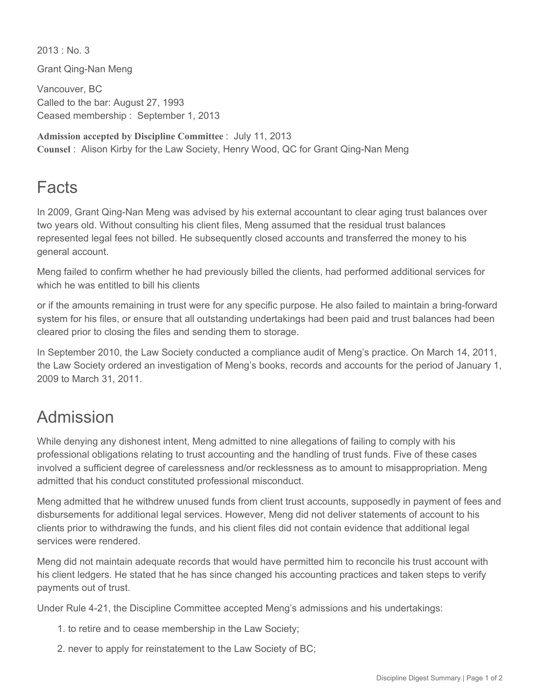$2013 \cdot$  No. 3

Grant Qing-Nan Meng

Vancouver, BC Called to the bar: August 27, 1993 Ceased membership : September 1, 2013

**Admission accepted by Discipline Committee** : July 11, 2013 **Counsel** : Alison Kirby for the Law Society, Henry Wood, QC for Grant Qing-Nan Meng

## Facts

In 2009, Grant Qing-Nan Meng was advised by his external accountant to clear aging trust balances over two years old. Without consulting his client files, Meng assumed that the residual trust balances represented legal fees not billed. He subsequently closed accounts and transferred the money to his general account.

Meng failed to confirm whether he had previously billed the clients, had performed additional services for which he was entitled to bill his clients

or if the amounts remaining in trust were for any specific purpose. He also failed to maintain a bring-forward system for his files, or ensure that all outstanding undertakings had been paid and trust balances had been cleared prior to closing the files and sending them to storage.

In September 2010, the Law Society conducted a compliance audit of Meng's practice. On March 14, 2011, the Law Society ordered an investigation of Meng's books, records and accounts for the period of January 1, 2009 to March 31, 2011.

## Admission

While denying any dishonest intent, Meng admitted to nine allegations of failing to comply with his professional obligations relating to trust accounting and the handling of trust funds. Five of these cases involved a sufficient degree of carelessness and/or recklessness as to amount to misappropriation. Meng admitted that his conduct constituted professional misconduct.

Meng admitted that he withdrew unused funds from client trust accounts, supposedly in payment of fees and disbursements for additional legal services. However, Meng did not deliver statements of account to his clients prior to withdrawing the funds, and his client files did not contain evidence that additional legal services were rendered.

Meng did not maintain adequate records that would have permitted him to reconcile his trust account with his client ledgers. He stated that he has since changed his accounting practices and taken steps to verify payments out of trust.

Under Rule 4-21, the Discipline Committee accepted Meng's admissions and his undertakings:

- 1. to retire and to cease membership in the Law Society;
- 2. never to apply for reinstatement to the Law Society of BC;